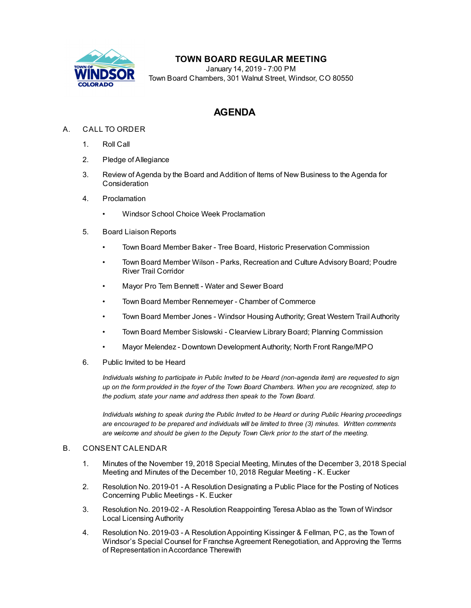

## **TOWN BOARD REGULAR MEETING**

January 14, 2019 - 7:00 PM Town Board Chambers, 301 Walnut Street, Windsor, CO 80550

# **AGENDA**

### A. CALL TO ORDER

- 1. Roll Call
- 2. Pledge of Allegiance
- 3. Review of Agenda by the Board and Addition of Items of New Business to the Agenda for Consideration
- 4. Proclamation
	- Windsor School Choice Week [Proclamation](file:///C:/Windows/TEMP/CoverSheet.aspx?ItemID=152&MeetingID=29)
- 5. Board Liaison Reports
	- Town Board Member Baker Tree Board, Historic Preservation Commission
	- Town Board Member Wilson Parks, Recreation and Culture Advisory Board; Poudre River Trail Corridor
	- Mayor Pro Tem Bennett Water and Sewer Board
	- Town Board Member Rennemeyer Chamber of Commerce
	- Town Board Member Jones Windsor Housing Authority; Great Western Trail Authority
	- Town Board Member Sislowski Clearview Library Board; Planning Commission
	- Mayor Melendez Downtown Development Authority; North Front Range/MPO
- 6. Public Invited to be Heard

*Individuals wishing to participate in Public Invited to be Heard (non-agenda item) are requested to sign* up on the form provided in the foyer of the Town Board Chambers. When you are recognized, step to *the podium, state your name and address then speak to the Town Board.*

*Individuals wishing to speak during the Public Invited to be Heard or during Public Hearing proceedings are encouraged to be prepared and individuals will be limited to three (3) minutes. Written comments are welcome and should be given to the Deputy Town Clerk prior to the start of the meeting.*

#### B. CONSENT CALENDAR

- 1. Minutes of the November 19, 2018 Special Meeting, Minutes of the [December](file:///C:/Windows/TEMP/CoverSheet.aspx?ItemID=157&MeetingID=29) 3, 2018 Special Meeting and Minutes of the December 10, 2018 Regular Meeting - K. Eucker
- 2. Resolution No. 2019-01 A Resolution [Designating](file:///C:/Windows/TEMP/CoverSheet.aspx?ItemID=149&MeetingID=29) a Public Place for the Posting of Notices Concerning Public Meetings - K. Eucker
- 3. Resolution No. 2019-02 A Resolution [Reappointing](file:///C:/Windows/TEMP/CoverSheet.aspx?ItemID=147&MeetingID=29) Teresa Ablao as the Town of Windsor Local Licensing Authority
- 4. Resolution No. 2019-03 A [ResolutionAppointing](file:///C:/Windows/TEMP/CoverSheet.aspx?ItemID=151&MeetingID=29) Kissinger & Fellman, PC, as the Town of Windsor's Special Counsel for Franchse Agreement Renegotiation, and Approving the Terms of Representation inAccordance Therewith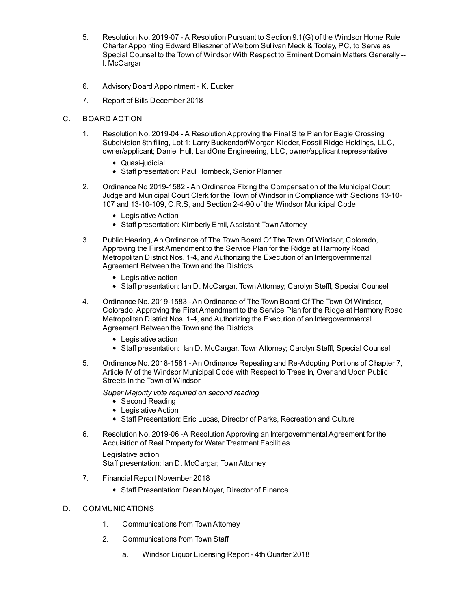- 5. Resolution No. 2019-07 A Resolution Pursuant to Section 9.1(G) of the Windsor Home Rule Charter [Appointing](file:///C:/Windows/TEMP/CoverSheet.aspx?ItemID=150&MeetingID=29) Edward Blieszner of Welborn Sullivan Meck & Tooley, PC, to Serve as Special Counsel to the Town of Windsor With Respect to Eminent Domain Matters Generally -- I. McCargar
- 6. Advisory Board [Appointment](file:///C:/Windows/TEMP/CoverSheet.aspx?ItemID=164&MeetingID=29) K. Eucker
- 7. Report of Bills [December](file:///C:/Windows/TEMP/CoverSheet.aspx?ItemID=161&MeetingID=29) 2018
- C. BOARD ACTION
	- 1. Resolution No. 2019-04 A [ResolutionApproving](file:///C:/Windows/TEMP/CoverSheet.aspx?ItemID=165&MeetingID=29) the Final Site Plan for Eagle Crossing Subdivision 8th filing, Lot 1; Larry Buckendorf/Morgan Kidder, Fossil Ridge Holdings, LLC, owner/applicant; Daniel Hull, LandOne Engineering, LLC, owner/applicant representative
		- Quasi-judicial
		- Staff presentation: Paul Hornbeck, Senior Planner
	- 2. Ordinance No 2019-1582 An Ordinance Fixing the [Compensation](file:///C:/Windows/TEMP/CoverSheet.aspx?ItemID=146&MeetingID=29) of the Municipal Court Judge and Municipal Court Clerk for the Town of Windsor in Compliance with Sections 13-10- 107 and 13-10-109, C.R.S, and Section 2-4-90 of the Windsor Municipal Code
		- Legislative Action
		- Staff presentation: Kimberly Emil, Assistant Town Attorney
	- 3. Public Hearing, An Ordinance of The Town Board Of The Town Of Windsor, Colorado, Approving the First Amendment to the Service Plan for the Ridge at Harmony Road Metropolitan District Nos. 1-4, and Authorizing the Execution of an [Intergovernmental](file:///C:/Windows/TEMP/CoverSheet.aspx?ItemID=154&MeetingID=29) Agreement Between the Town and the Districts
		- Legislative action
		- Staff presentation: Ian D. McCargar, TownAttorney; Carolyn Steffl, Special Counsel
	- 4. Ordinance No. 2019-1583 An Ordinance of The Town Board Of The Town Of Windsor, Colorado, Approving the First Amendment to the Service Plan for the Ridge at Harmony Road Metropolitan District Nos. 1-4, and Authorizing the Execution of an [Intergovernmental](file:///C:/Windows/TEMP/CoverSheet.aspx?ItemID=153&MeetingID=29) Agreement Between the Town and the Districts
		- Legislative action
		- Staff presentation: Ian D. McCargar, Town Attorney; Carolyn Steffl, Special Counsel
	- 5. Ordinance No. 2018-1581 An Ordinance Repealing and [Re-Adopting](file:///C:/Windows/TEMP/CoverSheet.aspx?ItemID=160&MeetingID=29) Portions of Chapter 7, Article IV of the Windsor Municipal Code with Respect to Trees In, Over and Upon Public Streets in the Town of Windsor
		- *Super Majority vote required on second reading*
			- Second Reading
			- Legislative Action
			- Staff Presentation: Eric Lucas, Director of Parks, Recreation and Culture
	- 6. Resolution No. 2019-06 -A [ResolutionApproving](file:///C:/Windows/TEMP/CoverSheet.aspx?ItemID=171&MeetingID=29) an Intergovernmental Agreement for the Acquisition of Real Property for Water Treatment Facilities
		- Legislative action Staff presentation: Ian D. McCargar, TownAttorney
	- 7. Financial Report [November](file:///C:/Windows/TEMP/CoverSheet.aspx?ItemID=162&MeetingID=29) 2018
		- Staff Presentation: Dean Moyer, Director of Finance

#### D. COMMUNICATIONS

- 1. Communications from TownAttorney
- 2. Communications from Town Staff
	- a. Windsor Liquor [Licensing](file:///C:/Windows/TEMP/CoverSheet.aspx?ItemID=148&MeetingID=29) Report 4th Quarter 2018